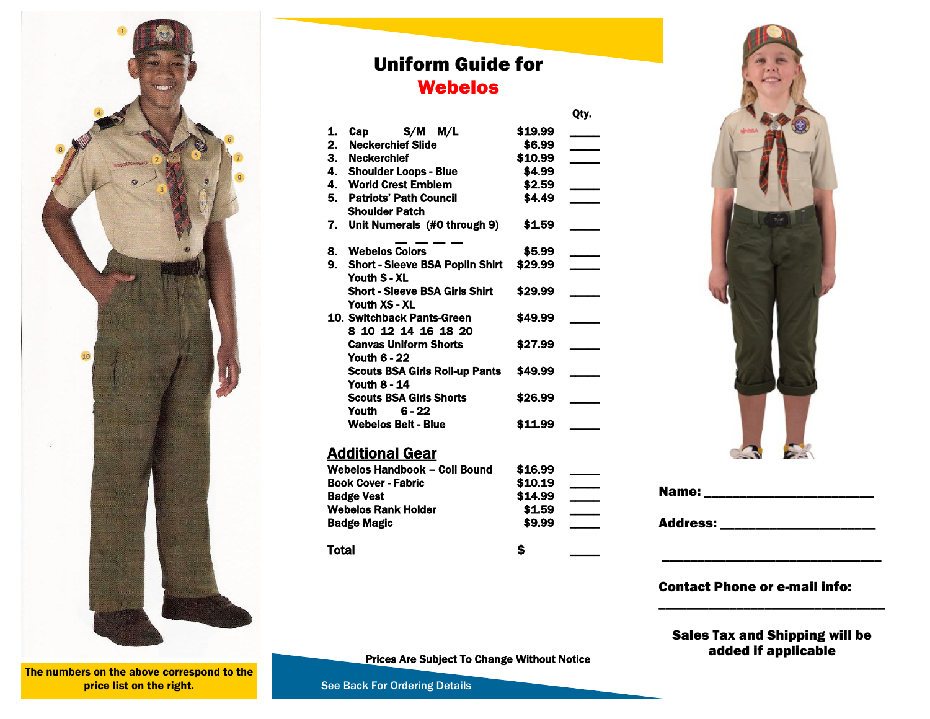

### Uniform Guide for Webelos

Qty.

| 1.                         | Cap S/M M/L                            | \$19.99 |  |
|----------------------------|----------------------------------------|---------|--|
| 2.                         | <b>Neckerchief Slide</b>               | \$6.99  |  |
| 3.                         | <b>Neckerchief</b>                     | \$10.99 |  |
| 4.                         | <b>Shoulder Loops - Blue</b>           | \$4.99  |  |
| 4.                         | <b>World Crest Emblem</b>              | \$2.59  |  |
| 5.                         | <b>Patriots' Path Council</b>          | \$4.49  |  |
|                            | <b>Shoulder Patch</b>                  |         |  |
| 7.                         | Unit Numerals (#0 through 9)           | \$1.59  |  |
| 8.                         | <b>Webelos Colors</b>                  | \$5.99  |  |
| 9.                         | <b>Short - Sleeve BSA Poplin Shirt</b> | \$29.99 |  |
|                            | Youth S - XL                           |         |  |
|                            | <b>Short - Sleeve BSA Girls Shirt</b>  | \$29.99 |  |
|                            | Youth XS - XL                          |         |  |
|                            | 10. Switchback Pants-Green             | \$49.99 |  |
|                            | 8 10 12 14 16 18 20                    |         |  |
|                            | <b>Canvas Uniform Shorts</b>           | \$27.99 |  |
|                            | <b>Youth 6 - 22</b>                    |         |  |
|                            | <b>Scouts BSA Girls Roll-up Pants</b>  | \$49.99 |  |
|                            | <b>Youth 8 - 14</b>                    |         |  |
|                            | <b>Scouts BSA Girls Shorts</b>         | \$26.99 |  |
|                            | $6 - 22$<br>Youth                      |         |  |
|                            | <b>Webelos Belt - Blue</b>             | \$11.99 |  |
|                            | <u> Additional Gear</u>                |         |  |
|                            | Webelos Handbook – Coil Bound          | \$16.99 |  |
| <b>Book Cover - Fabric</b> |                                        | \$10.19 |  |
| <b>Badge Vest</b>          |                                        | \$14.99 |  |
|                            | <b>Webelos Rank Holder</b>             | \$1.59  |  |
|                            | <b>Badge Magic</b>                     | \$9.99  |  |
|                            |                                        |         |  |



| Name:           |  |
|-----------------|--|
| <b>Address:</b> |  |

#### Contact Phone or e-mail info:

Sales Tax and Shipping will be added if applicable

\_\_\_\_\_\_\_\_\_\_\_\_\_\_\_\_\_\_\_\_\_\_\_\_\_\_\_\_\_\_\_

\_\_\_\_\_\_\_\_\_\_\_\_\_\_\_\_\_\_\_\_\_\_\_\_\_\_\_\_\_\_\_\_

Prices Are Subject To Change Without Notice

Total \$ \_\_\_\_\_

The numbers on the above correspond to the price list on the right.

See Back For Ordering Details